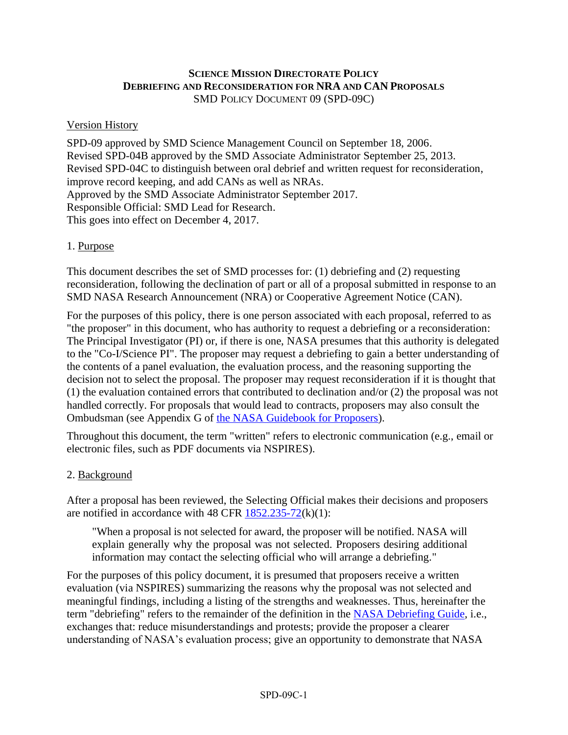# **SCIENCE MISSION DIRECTORATE POLICY DEBRIEFING AND RECONSIDERATION FOR NRA AND CAN PROPOSALS** SMD POLICY DOCUMENT 09 (SPD-09C)

### Version History

SPD-09 approved by SMD Science Management Council on September 18, 2006. Revised SPD-04B approved by the SMD Associate Administrator September 25, 2013. Revised SPD-04C to distinguish between oral debrief and written request for reconsideration, improve record keeping, and add CANs as well as NRAs. Approved by the SMD Associate Administrator September 2017. Responsible Official: SMD Lead for Research. This goes into effect on December 4, 2017.

# 1. Purpose

This document describes the set of SMD processes for: (1) debriefing and (2) requesting reconsideration, following the declination of part or all of a proposal submitted in response to an SMD NASA Research Announcement (NRA) or Cooperative Agreement Notice (CAN).

For the purposes of this policy, there is one person associated with each proposal, referred to as "the proposer" in this document, who has authority to request a debriefing or a reconsideration: The Principal Investigator (PI) or, if there is one, NASA presumes that this authority is delegated to the "Co-I/Science PI". The proposer may request a debriefing to gain a better understanding of the contents of a panel evaluation, the evaluation process, and the reasoning supporting the decision not to select the proposal. The proposer may request reconsideration if it is thought that (1) the evaluation contained errors that contributed to declination and/or (2) the proposal was not handled correctly. For proposals that would lead to contracts, proposers may also consult the Ombudsman (see Appendix G of [the NASA Guidebook for Proposers\)](https://www.hq.nasa.gov/office/procurement/nraguidebook/).

Throughout this document, the term "written" refers to electronic communication (e.g., email or electronic files, such as PDF documents via NSPIRES).

# 2. Background

After a proposal has been reviewed, the Selecting Official makes their decisions and proposers are notified in accordance with 48 CFR [1852.235-72\(](http://law.justia.com/cfr/title48/48-6.0.4.23.43.1.1.86.html)k)(1):

"When a proposal is not selected for award, the proposer will be notified. NASA will explain generally why the proposal was not selected. Proposers desiring additional information may contact the selecting official who will arrange a debriefing."

For the purposes of this policy document, it is presumed that proposers receive a written evaluation (via NSPIRES) summarizing the reasons why the proposal was not selected and meaningful findings, including a listing of the strengths and weaknesses. Thus, hereinafter the term "debriefing" refers to the remainder of the definition in the [NASA Debriefing Guide,](https://www.hq.nasa.gov/office/procurement/NASADebriefingGuide.pdf) i.e., exchanges that: reduce misunderstandings and protests; provide the proposer a clearer understanding of NASA's evaluation process; give an opportunity to demonstrate that NASA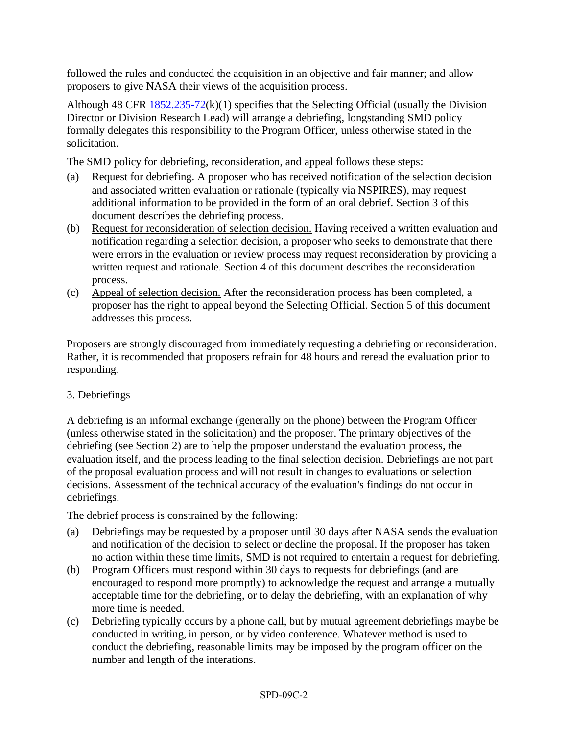followed the rules and conducted the acquisition in an objective and fair manner; and allow proposers to give NASA their views of the acquisition process.

Although 48 CFR  $1852.235-72(k)(1)$  $1852.235-72(k)(1)$  specifies that the Selecting Official (usually the Division Director or Division Research Lead) will arrange a debriefing, longstanding SMD policy formally delegates this responsibility to the Program Officer, unless otherwise stated in the solicitation.

The SMD policy for debriefing, reconsideration, and appeal follows these steps:

- (a) Request for debriefing. A proposer who has received notification of the selection decision and associated written evaluation or rationale (typically via NSPIRES), may request additional information to be provided in the form of an oral debrief. Section 3 of this document describes the debriefing process.
- (b) Request for reconsideration of selection decision. Having received a written evaluation and notification regarding a selection decision, a proposer who seeks to demonstrate that there were errors in the evaluation or review process may request reconsideration by providing a written request and rationale. Section 4 of this document describes the reconsideration process.
- (c) Appeal of selection decision*.* After the reconsideration process has been completed, a proposer has the right to appeal beyond the Selecting Official. Section 5 of this document addresses this process.

Proposers are strongly discouraged from immediately requesting a debriefing or reconsideration. Rather, it is recommended that proposers refrain for 48 hours and reread the evaluation prior to responding.

# 3. Debriefings

A debriefing is an informal exchange (generally on the phone) between the Program Officer (unless otherwise stated in the solicitation) and the proposer. The primary objectives of the debriefing (see Section 2) are to help the proposer understand the evaluation process, the evaluation itself, and the process leading to the final selection decision. Debriefings are not part of the proposal evaluation process and will not result in changes to evaluations or selection decisions. Assessment of the technical accuracy of the evaluation's findings do not occur in debriefings.

The debrief process is constrained by the following:

- (a) Debriefings may be requested by a proposer until 30 days after NASA sends the evaluation and notification of the decision to select or decline the proposal. If the proposer has taken no action within these time limits, SMD is not required to entertain a request for debriefing.
- (b) Program Officers must respond within 30 days to requests for debriefings (and are encouraged to respond more promptly) to acknowledge the request and arrange a mutually acceptable time for the debriefing, or to delay the debriefing, with an explanation of why more time is needed.
- (c) Debriefing typically occurs by a phone call, but by mutual agreement debriefings maybe be conducted in writing, in person, or by video conference. Whatever method is used to conduct the debriefing, reasonable limits may be imposed by the program officer on the number and length of the interations.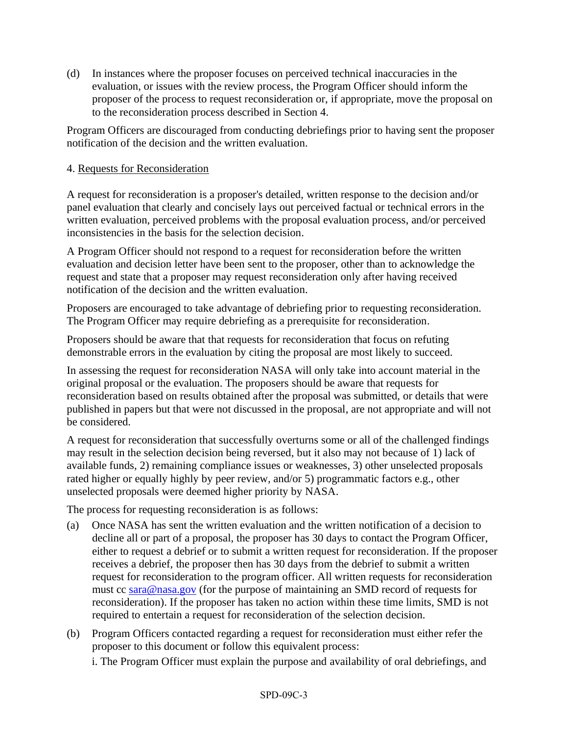(d) In instances where the proposer focuses on perceived technical inaccuracies in the evaluation, or issues with the review process, the Program Officer should inform the proposer of the process to request reconsideration or, if appropriate, move the proposal on to the reconsideration process described in Section 4.

Program Officers are discouraged from conducting debriefings prior to having sent the proposer notification of the decision and the written evaluation.

# 4. Requests for Reconsideration

A request for reconsideration is a proposer's detailed, written response to the decision and/or panel evaluation that clearly and concisely lays out perceived factual or technical errors in the written evaluation, perceived problems with the proposal evaluation process, and/or perceived inconsistencies in the basis for the selection decision.

A Program Officer should not respond to a request for reconsideration before the written evaluation and decision letter have been sent to the proposer, other than to acknowledge the request and state that a proposer may request reconsideration only after having received notification of the decision and the written evaluation.

Proposers are encouraged to take advantage of debriefing prior to requesting reconsideration. The Program Officer may require debriefing as a prerequisite for reconsideration.

Proposers should be aware that that requests for reconsideration that focus on refuting demonstrable errors in the evaluation by citing the proposal are most likely to succeed.

In assessing the request for reconsideration NASA will only take into account material in the original proposal or the evaluation. The proposers should be aware that requests for reconsideration based on results obtained after the proposal was submitted, or details that were published in papers but that were not discussed in the proposal, are not appropriate and will not be considered.

A request for reconsideration that successfully overturns some or all of the challenged findings may result in the selection decision being reversed, but it also may not because of 1) lack of available funds, 2) remaining compliance issues or weaknesses, 3) other unselected proposals rated higher or equally highly by peer review, and/or 5) programmatic factors e.g., other unselected proposals were deemed higher priority by NASA.

The process for requesting reconsideration is as follows:

- (a) Once NASA has sent the written evaluation and the written notification of a decision to decline all or part of a proposal, the proposer has 30 days to contact the Program Officer, either to request a debrief or to submit a written request for reconsideration. If the proposer receives a debrief, the proposer then has 30 days from the debrief to submit a written request for reconsideration to the program officer. All written requests for reconsideration must cc [sara@nasa.gov](mailto:sara@nasa.gov) (for the purpose of maintaining an SMD record of requests for reconsideration). If the proposer has taken no action within these time limits, SMD is not required to entertain a request for reconsideration of the selection decision.
- (b) Program Officers contacted regarding a request for reconsideration must either refer the proposer to this document or follow this equivalent process:

i. The Program Officer must explain the purpose and availability of oral debriefings, and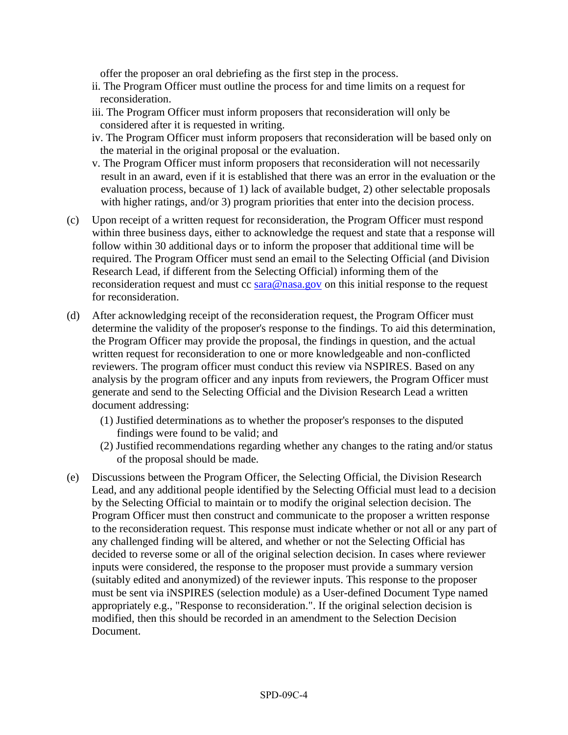offer the proposer an oral debriefing as the first step in the process.

- ii. The Program Officer must outline the process for and time limits on a request for reconsideration.
- iii. The Program Officer must inform proposers that reconsideration will only be considered after it is requested in writing.
- iv. The Program Officer must inform proposers that reconsideration will be based only on the material in the original proposal or the evaluation.
- v. The Program Officer must inform proposers that reconsideration will not necessarily result in an award, even if it is established that there was an error in the evaluation or the evaluation process, because of 1) lack of available budget, 2) other selectable proposals with higher ratings, and/or 3) program priorities that enter into the decision process.
- (c) Upon receipt of a written request for reconsideration, the Program Officer must respond within three business days, either to acknowledge the request and state that a response will follow within 30 additional days or to inform the proposer that additional time will be required. The Program Officer must send an email to the Selecting Official (and Division Research Lead, if different from the Selecting Official) informing them of the reconsideration request and must cc [sara@nasa.gov](mailto:sara@nasa.gov) on this initial response to the request for reconsideration.
- (d) After acknowledging receipt of the reconsideration request, the Program Officer must determine the validity of the proposer's response to the findings. To aid this determination, the Program Officer may provide the proposal, the findings in question, and the actual written request for reconsideration to one or more knowledgeable and non-conflicted reviewers. The program officer must conduct this review via NSPIRES. Based on any analysis by the program officer and any inputs from reviewers, the Program Officer must generate and send to the Selecting Official and the Division Research Lead a written document addressing:
	- (1) Justified determinations as to whether the proposer's responses to the disputed findings were found to be valid; and
	- (2) Justified recommendations regarding whether any changes to the rating and/or status of the proposal should be made.
- (e) Discussions between the Program Officer, the Selecting Official, the Division Research Lead, and any additional people identified by the Selecting Official must lead to a decision by the Selecting Official to maintain or to modify the original selection decision. The Program Officer must then construct and communicate to the proposer a written response to the reconsideration request. This response must indicate whether or not all or any part of any challenged finding will be altered, and whether or not the Selecting Official has decided to reverse some or all of the original selection decision. In cases where reviewer inputs were considered, the response to the proposer must provide a summary version (suitably edited and anonymized) of the reviewer inputs. This response to the proposer must be sent via iNSPIRES (selection module) as a User-defined Document Type named appropriately e.g., "Response to reconsideration.". If the original selection decision is modified, then this should be recorded in an amendment to the Selection Decision Document.